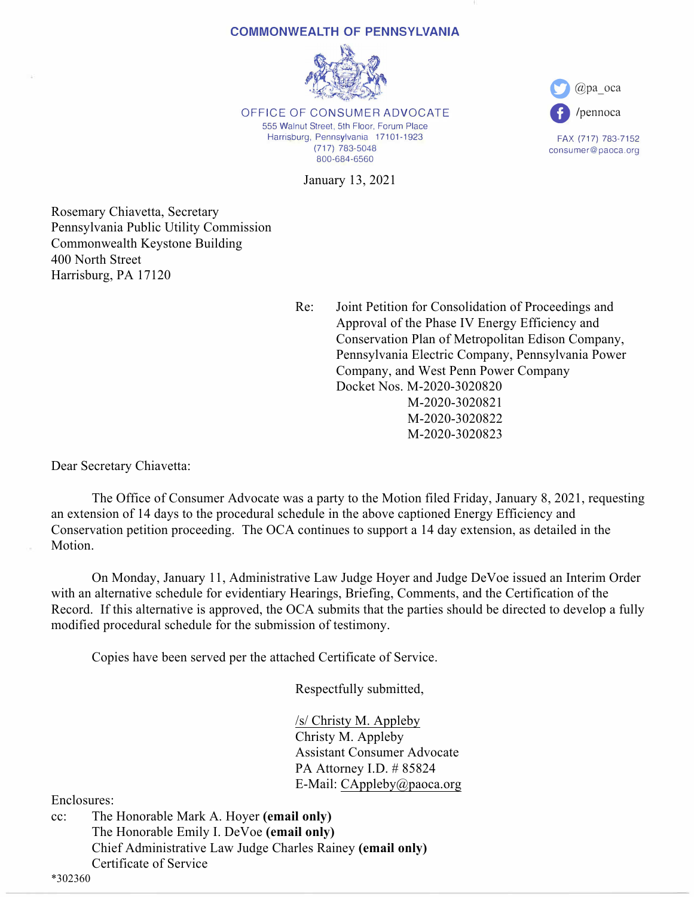## **COMMONWEALTH OF PENNSYLVANIA**



OFFICE OF CONSUMER ADVOCATE 555 Walnut Street, 5th Floor, Forum Place Harrisburg, Pennsylvania 17101-1923 (717) 783-5048 800-684-6560

January 13, 2021

Rosemary Chiavetta, Secretary Pennsylvania Public Utility Commission Commonwealth Keystone Building 400 North Street Harrisburg, PA 17120

> Re: Joint Petition for Consolidation of Proceedings and Approval of the Phase IV Energy Efficiency and Conservation Plan of Metropolitan Edison Company, Pennsylvania Electric Company, Pennsylvania Power Company, and West Penn Power Company Docket Nos. M-2020-3020820 M-2020-3020821 M-2020-3020822 M-2020-3020823

**0** @pa\_oca

**0** /pennoca

FAX (717) 783-7152 consumer@paoca.org

Dear Secretary Chiavetta:

 The Office of Consumer Advocate was a party to the Motion filed Friday, January 8, 2021, requesting an extension of 14 days to the procedural schedule in the above captioned Energy Efficiency and Conservation petition proceeding. The OCA continues to support a 14 day extension, as detailed in the Motion.

 On Monday, January 11, Administrative Law Judge Hoyer and Judge DeVoe issued an Interim Order with an alternative schedule for evidentiary Hearings, Briefing, Comments, and the Certification of the Record. If this alternative is approved, the OCA submits that the parties should be directed to develop a fully modified procedural schedule for the submission of testimony.

Copies have been served per the attached Certificate of Service.

Respectfully submitted,

 /s/ Christy M. Appleby Christy M. Appleby Assistant Consumer Advocate PA Attorney I.D. # 85824 E-Mail: CAppleby@paoca.org

Enclosures:

cc: The Honorable Mark A. Hoyer **(email only)** The Honorable Emily I. DeVoe **(email only)** Chief Administrative Law Judge Charles Rainey **(email only)** Certificate of Service

\*302360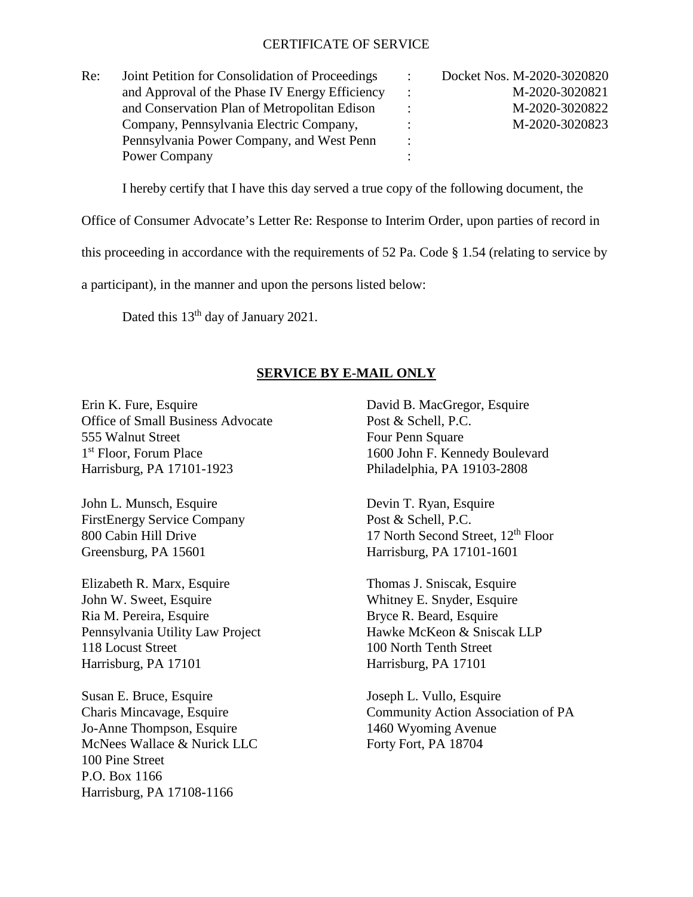## CERTIFICATE OF SERVICE

| Re: | Joint Petition for Consolidation of Proceedings | $\cdot$              | Docket Nos. M-2020-3020820 |
|-----|-------------------------------------------------|----------------------|----------------------------|
|     | and Approval of the Phase IV Energy Efficiency  | $\ddot{\phantom{0}}$ | M-2020-3020821             |
|     | and Conservation Plan of Metropolitan Edison    |                      | M-2020-3020822             |
|     | Company, Pennsylvania Electric Company,         |                      | M-2020-3020823             |
|     | Pennsylvania Power Company, and West Penn       | $\ddot{\cdot}$       |                            |
|     | Power Company                                   |                      |                            |

I hereby certify that I have this day served a true copy of the following document, the

Office of Consumer Advocate's Letter Re: Response to Interim Order, upon parties of record in

this proceeding in accordance with the requirements of 52 Pa. Code § 1.54 (relating to service by

a participant), in the manner and upon the persons listed below:

Dated this 13<sup>th</sup> day of January 2021.

## **SERVICE BY E-MAIL ONLY**

Erin K. Fure, Esquire David B. MacGregor, Esquire Office of Small Business Advocate Post & Schell, P.C. 555 Walnut Street Four Penn Square 1<sup>st</sup> Floor, Forum Place 1600 John F. Kennedy Boulevard Harrisburg, PA 17101-1923 Philadelphia, PA 19103-2808

John L. Munsch, Esquire Devin T. Ryan, Esquire FirstEnergy Service Company Post & Schell, P.C. Greensburg, PA 15601 Harrisburg, PA 17101-1601

Elizabeth R. Marx, Esquire Thomas J. Sniscak, Esquire John W. Sweet, Esquire Whitney E. Snyder, Esquire Ria M. Pereira, Esquire Bryce R. Beard, Esquire Pennsylvania Utility Law Project Hawke McKeon & Sniscak LLP 118 Locust Street 100 North Tenth Street Harrisburg, PA 17101 Harrisburg, PA 17101

Susan E. Bruce, Esquire Joseph L. Vullo, Esquire Jo-Anne Thompson, Esquire 1460 Wyoming Avenue McNees Wallace & Nurick LLC Forty Fort, PA 18704 100 Pine Street P.O. Box 1166 Harrisburg, PA 17108-1166

800 Cabin Hill Drive 17 North Second Street,  $12<sup>th</sup>$  Floor

Charis Mincavage, Esquire Community Action Association of PA